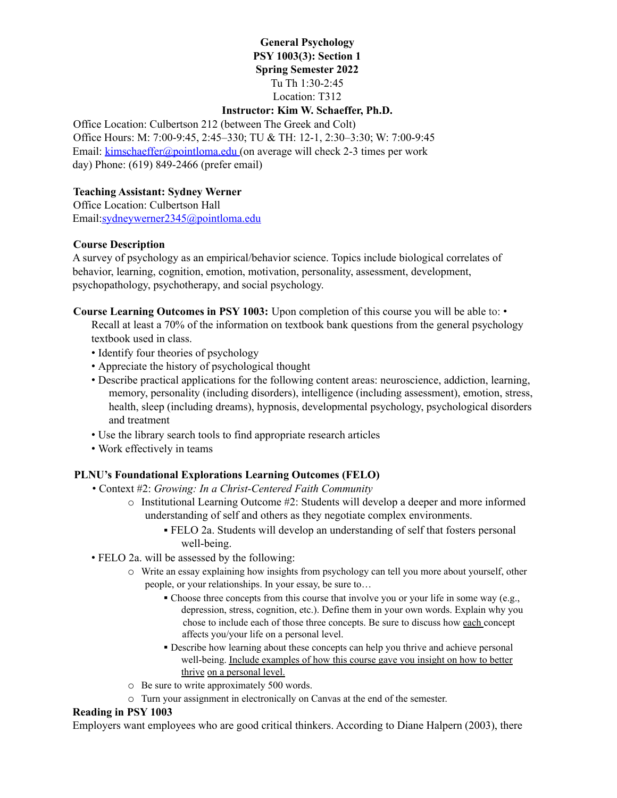## **General Psychology PSY 1003(3): Section 1 Spring Semester 2022** Tu Th 1:30-2:45 Location: T312

# **Instructor: Kim W. Schaeffer, Ph.D.**

Office Location: Culbertson 212 (between The Greek and Colt) Office Hours: M: 7:00-9:45, 2:45–330; TU & TH: 12-1, 2:30–3:30; W: 7:00-9:45 Email: kimschaeffer@pointloma.edu (on average will check 2-3 times per work day) Phone: (619) 849-2466 (prefer email)

### **Teaching Assistant: Sydney Werner**

Office Location: Culbertson Hall Email:sydneywerner2345@pointloma.edu

### **Course Description**

A survey of psychology as an empirical/behavior science. Topics include biological correlates of behavior, learning, cognition, emotion, motivation, personality, assessment, development, psychopathology, psychotherapy, and social psychology.

**Course Learning Outcomes in PSY 1003:** Upon completion of this course you will be able to: • Recall at least a 70% of the information on textbook bank questions from the general psychology textbook used in class.

- Identify four theories of psychology
- Appreciate the history of psychological thought
- Describe practical applications for the following content areas: neuroscience, addiction, learning, memory, personality (including disorders), intelligence (including assessment), emotion, stress, health, sleep (including dreams), hypnosis, developmental psychology, psychological disorders and treatment
- Use the library search tools to find appropriate research articles
- Work effectively in teams

### **PLNU's Foundational Explorations Learning Outcomes (FELO)**

- Context #2: *Growing: In a Christ-Centered Faith Community*
	- $\circ$  Institutional Learning Outcome #2: Students will develop a deeper and more informed understanding of self and others as they negotiate complex environments.
		- FELO 2a. Students will develop an understanding of self that fosters personal well-being.
- FELO 2a. will be assessed by the following:
	- o Write an essay explaining how insights from psychology can tell you more about yourself, other people, or your relationships. In your essay, be sure to…
		- Choose three concepts from this course that involve you or your life in some way (e.g., depression, stress, cognition, etc.). Define them in your own words. Explain why you chose to include each of those three concepts. Be sure to discuss how each concept affects you/your life on a personal level.
		- Describe how learning about these concepts can help you thrive and achieve personal well-being. Include examples of how this course gave you insight on how to better thrive on a personal level.
	- o Be sure to write approximately 500 words.
	- o Turn your assignment in electronically on Canvas at the end of the semester.

#### **Reading in PSY 1003**

Employers want employees who are good critical thinkers. According to Diane Halpern (2003), there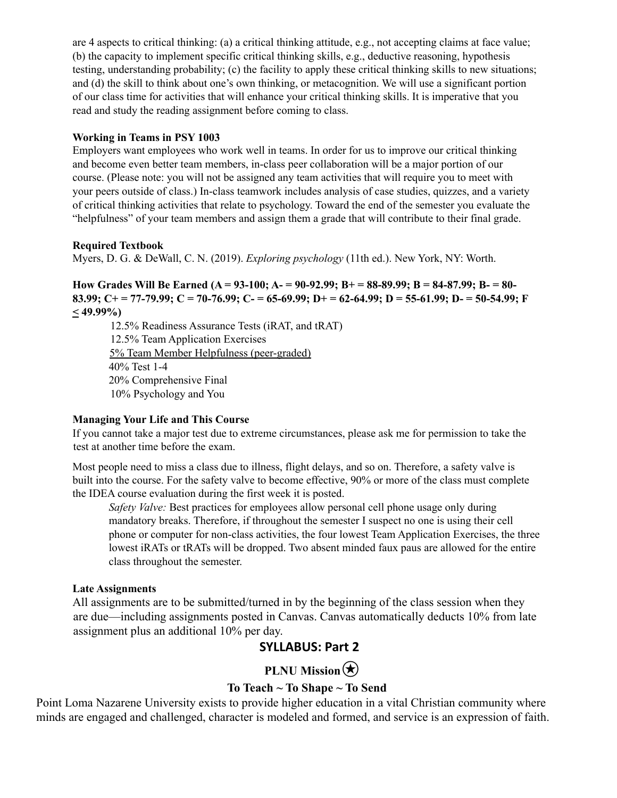are 4 aspects to critical thinking: (a) a critical thinking attitude, e.g., not accepting claims at face value; (b) the capacity to implement specific critical thinking skills, e.g., deductive reasoning, hypothesis testing, understanding probability; (c) the facility to apply these critical thinking skills to new situations; and (d) the skill to think about one's own thinking, or metacognition. We will use a significant portion of our class time for activities that will enhance your critical thinking skills. It is imperative that you read and study the reading assignment before coming to class.

### **Working in Teams in PSY 1003**

Employers want employees who work well in teams. In order for us to improve our critical thinking and become even better team members, in-class peer collaboration will be a major portion of our course. (Please note: you will not be assigned any team activities that will require you to meet with your peers outside of class.) In-class teamwork includes analysis of case studies, quizzes, and a variety of critical thinking activities that relate to psychology. Toward the end of the semester you evaluate the "helpfulness" of your team members and assign them a grade that will contribute to their final grade.

### **Required Textbook**

Myers, D. G. & DeWall, C. N. (2019). *Exploring psychology* (11th ed.). New York, NY: Worth.

How Grades Will Be Earned (A = 93-100; A = 90-92.99; B + = 88-89.99; B = 84-87.99; B = 80-83.99; C+ = 77-79.99; C = 70-76.99; C- = 65-69.99; D+ = 62-64.99; D = 55-61.99; D- = 50-54.99; F **< 49.99%)**

12.5% Readiness Assurance Tests (iRAT, and tRAT) 12.5% Team Application Exercises 5% Team Member Helpfulness (peer-graded) 40% Test 1-4 20% Comprehensive Final 10% Psychology and You

#### **Managing Your Life and This Course**

If you cannot take a major test due to extreme circumstances, please ask me for permission to take the test at another time before the exam.

Most people need to miss a class due to illness, flight delays, and so on. Therefore, a safety valve is built into the course. For the safety valve to become effective, 90% or more of the class must complete the IDEA course evaluation during the first week it is posted.

*Safety Valve:* Best practices for employees allow personal cell phone usage only during mandatory breaks. Therefore, if throughout the semester I suspect no one is using their cell phone or computer for non-class activities, the four lowest Team Application Exercises, the three lowest iRATs or tRATs will be dropped. Two absent minded faux paus are allowed for the entire class throughout the semester.

#### **Late Assignments**

All assignments are to be submitted/turned in by the beginning of the class session when they are due—including assignments posted in Canvas. Canvas automatically deducts 10% from late assignment plus an additional 10% per day.

# **SYLLABUS: Part 2**

# **PLNU** Mission

### **To Teach ~ To Shape ~ To Send**

Point Loma Nazarene University exists to provide higher education in a vital Christian community where minds are engaged and challenged, character is modeled and formed, and service is an expression of faith.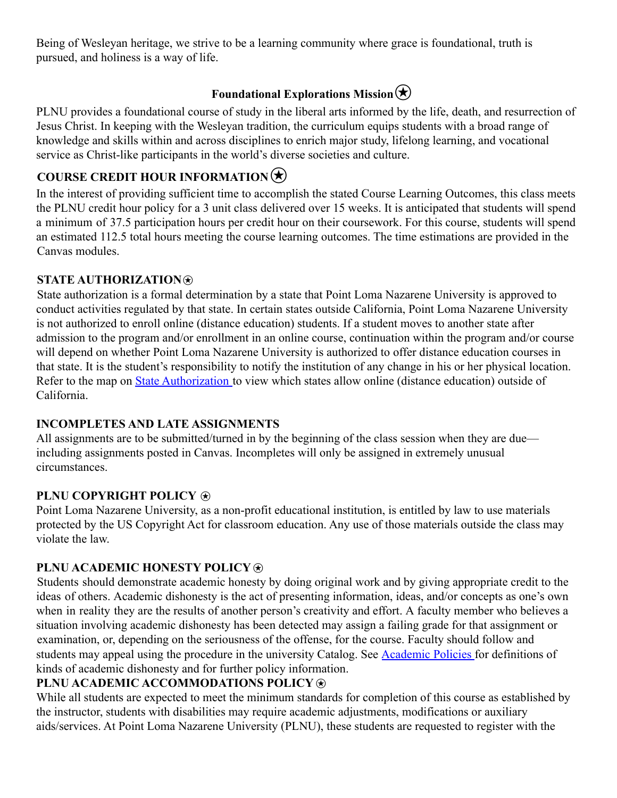Being of Wesleyan heritage, we strive to be a learning community where grace is foundational, truth is pursued, and holiness is a way of life.

# **Foundational Explorations Mission** $\bigotimes$

PLNU provides a foundational course of study in the liberal arts informed by the life, death, and resurrection of Jesus Christ. In keeping with the Wesleyan tradition, the curriculum equips students with a broad range of knowledge and skills within and across disciplines to enrich major study, lifelong learning, and vocational service as Christ-like participants in the world's diverse societies and culture.

# **COURSE CREDIT HOUR INFORMATION**

In the interest of providing sufficient time to accomplish the stated Course Learning Outcomes, this class meets the PLNU credit hour policy for a 3 unit class delivered over 15 weeks. It is anticipated that students will spend a minimum of 37.5 participation hours per credit hour on their coursework. For this course, students will spend an estimated 112.5 total hours meeting the course learning outcomes. The time estimations are provided in the Canvas modules.

# **STATE AUTHORIZATION**⍟

State authorization is a formal determination by a state that Point Loma Nazarene University is approved to conduct activities regulated by that state. In certain states outside California, Point Loma Nazarene University is not authorized to enroll online (distance education) students. If a student moves to another state after admission to the program and/or enrollment in an online course, continuation within the program and/or course will depend on whether Point Loma Nazarene University is authorized to offer distance education courses in that state. It is the student's responsibility to notify the institution of any change in his or her physical location. Refer to the map on State Authorization to view which states allow online (distance education) outside of California.

# **INCOMPLETES AND LATE ASSIGNMENTS**

All assignments are to be submitted/turned in by the beginning of the class session when they are due including assignments posted in Canvas. Incompletes will only be assigned in extremely unusual circumstances.

# **PLNU COPYRIGHT POLICY**  $\circledast$

Point Loma Nazarene University, as a non-profit educational institution, is entitled by law to use materials protected by the US Copyright Act for classroom education. Any use of those materials outside the class may violate the law.

# **PLNU ACADEMIC HONESTY POLICY**  $\circledast$

Students should demonstrate academic honesty by doing original work and by giving appropriate credit to the ideas of others. Academic dishonesty is the act of presenting information, ideas, and/or concepts as one's own when in reality they are the results of another person's creativity and effort. A faculty member who believes a situation involving academic dishonesty has been detected may assign a failing grade for that assignment or examination, or, depending on the seriousness of the offense, for the course. Faculty should follow and students may appeal using the procedure in the university Catalog. See Academic Policies for definitions of kinds of academic dishonesty and for further policy information.

# **PLNU ACADEMIC ACCOMMODATIONS POLICY**

While all students are expected to meet the minimum standards for completion of this course as established by the instructor, students with disabilities may require academic adjustments, modifications or auxiliary aids/services. At Point Loma Nazarene University (PLNU), these students are requested to register with the